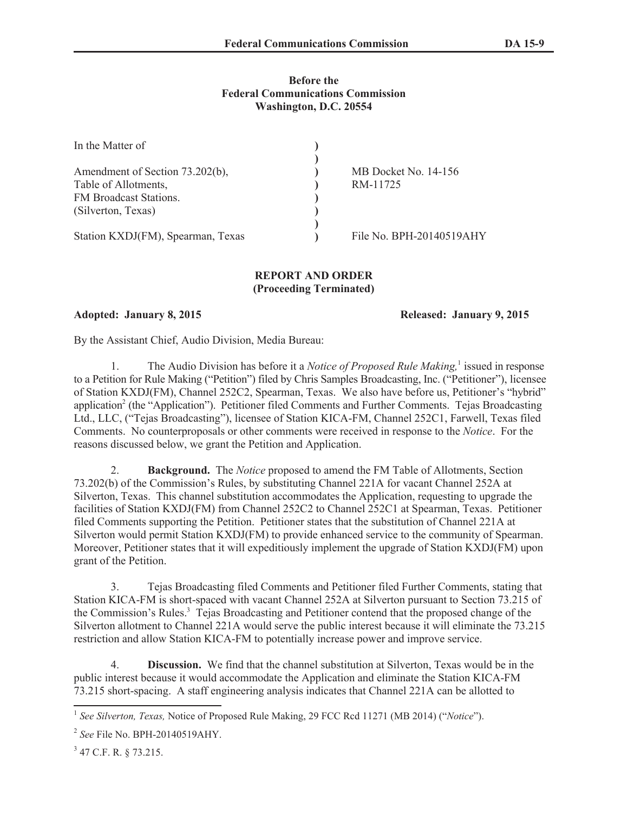## **Before the Federal Communications Commission Washington, D.C. 20554**

| In the Matter of                  |                          |
|-----------------------------------|--------------------------|
|                                   |                          |
| Amendment of Section 73.202(b),   | MB Docket No. 14-156     |
| Table of Allotments,              | RM-11725                 |
| FM Broadcast Stations.            |                          |
| (Silverton, Texas)                |                          |
|                                   |                          |
| Station KXDJ(FM), Spearman, Texas | File No. BPH-20140519AHY |

## **REPORT AND ORDER (Proceeding Terminated)**

**Adopted: January 8, 2015 Released: January 9, 2015**

By the Assistant Chief, Audio Division, Media Bureau:

1. The Audio Division has before it a *Notice of Proposed Rule Making*,<sup>1</sup> issued in response to a Petition for Rule Making ("Petition") filed by Chris Samples Broadcasting, Inc. ("Petitioner"), licensee of Station KXDJ(FM), Channel 252C2, Spearman, Texas. We also have before us, Petitioner's "hybrid" application<sup>2</sup> (the "Application"). Petitioner filed Comments and Further Comments. Tejas Broadcasting Ltd., LLC, ("Tejas Broadcasting"), licensee of Station KICA-FM, Channel 252C1, Farwell, Texas filed Comments. No counterproposals or other comments were received in response to the *Notice*. For the reasons discussed below, we grant the Petition and Application.

2. **Background.** The *Notice* proposed to amend the FM Table of Allotments, Section 73.202(b) of the Commission's Rules, by substituting Channel 221A for vacant Channel 252A at Silverton, Texas. This channel substitution accommodates the Application, requesting to upgrade the facilities of Station KXDJ(FM) from Channel 252C2 to Channel 252C1 at Spearman, Texas. Petitioner filed Comments supporting the Petition. Petitioner states that the substitution of Channel 221A at Silverton would permit Station KXDJ(FM) to provide enhanced service to the community of Spearman. Moreover, Petitioner states that it will expeditiously implement the upgrade of Station KXDJ(FM) upon grant of the Petition.

3. Tejas Broadcasting filed Comments and Petitioner filed Further Comments, stating that Station KICA-FM is short-spaced with vacant Channel 252A at Silverton pursuant to Section 73.215 of the Commission's Rules.<sup>3</sup> Tejas Broadcasting and Petitioner contend that the proposed change of the Silverton allotment to Channel 221A would serve the public interest because it will eliminate the 73.215 restriction and allow Station KICA-FM to potentially increase power and improve service.

4. **Discussion.** We find that the channel substitution at Silverton, Texas would be in the public interest because it would accommodate the Application and eliminate the Station KICA-FM 73.215 short-spacing. A staff engineering analysis indicates that Channel 221A can be allotted to

<sup>&</sup>lt;sup>1</sup> See Silverton, Texas, Notice of Proposed Rule Making, 29 FCC Rcd 11271 (MB 2014) ("Notice").

<sup>2</sup> *See* File No. BPH-20140519AHY.

<sup>&</sup>lt;sup>3</sup> 47 C.F. R. § 73.215.